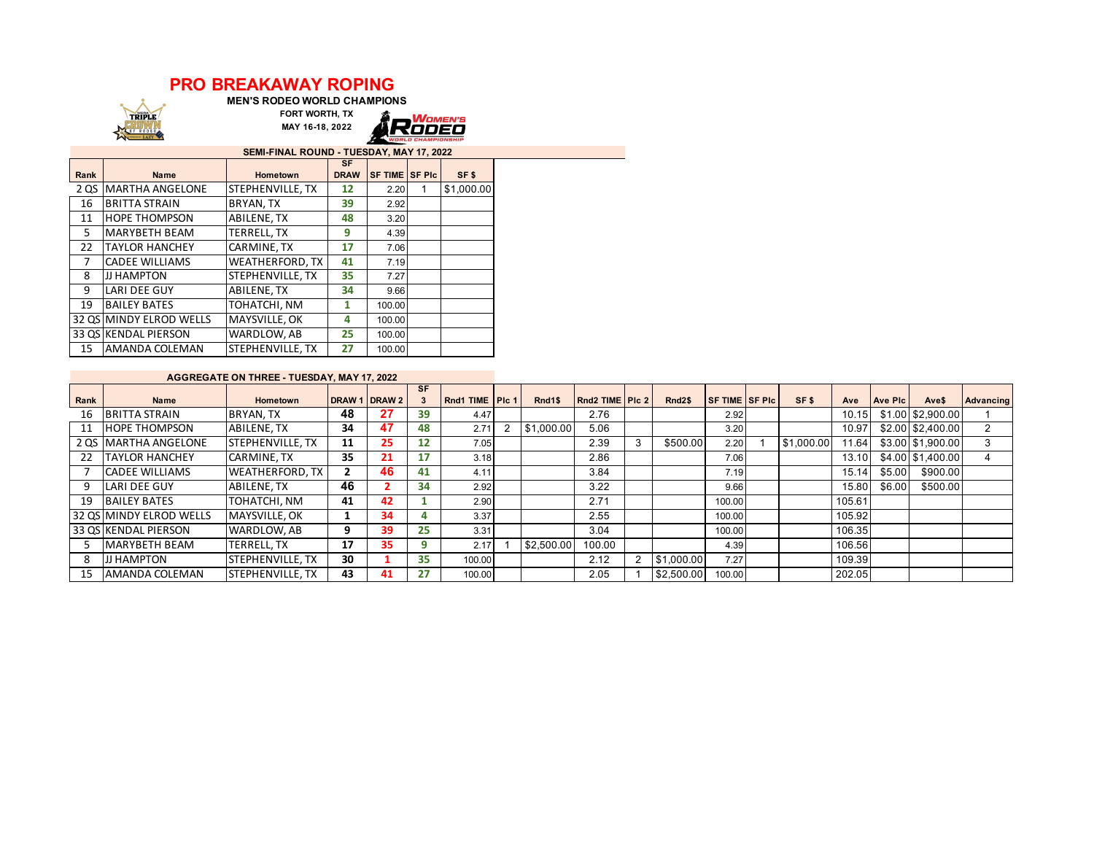## **PRO BREAKAWAY ROPING**



**MEN'S RODEO WORLD CHAMPIONS FORT WORTH, TX**



**SEMI-FINAL ROUND - TUESDAY, MAY 17, 2022**

| <b>SEIVII-FIIVAL RUUND - TUESDAT, IVIAT TI, 2022</b> |                         |                        |                    |                        |  |            |  |  |  |  |  |  |  |
|------------------------------------------------------|-------------------------|------------------------|--------------------|------------------------|--|------------|--|--|--|--|--|--|--|
| Rank                                                 | <b>Name</b>             | <b>Hometown</b>        | SF.<br><b>DRAW</b> | <b>SF TIME ISF PIC</b> |  | SF\$       |  |  |  |  |  |  |  |
| 2 QS                                                 | <b>MARTHA ANGELONE</b>  | STEPHENVILLE, TX       | 12                 | 2.20                   |  | \$1,000.00 |  |  |  |  |  |  |  |
| 16                                                   | <b>BRITTA STRAIN</b>    | BRYAN, TX              | 39                 | 2.92                   |  |            |  |  |  |  |  |  |  |
| 11                                                   | <b>HOPE THOMPSON</b>    | ABILENE. TX            | 48                 | 3.20                   |  |            |  |  |  |  |  |  |  |
| 5.                                                   | <b>MARYBETH BEAM</b>    | TERRELL. TX            | 9                  | 4.39                   |  |            |  |  |  |  |  |  |  |
| 22                                                   | <b>TAYLOR HANCHEY</b>   | CARMINE, TX            | 17                 | 7.06                   |  |            |  |  |  |  |  |  |  |
| 7                                                    | <b>CADEE WILLIAMS</b>   | <b>WEATHERFORD, TX</b> | 41                 | 7.19                   |  |            |  |  |  |  |  |  |  |
| 8                                                    | ЈЈ НАМРТОМ              | STEPHENVILLE, TX       | 35                 | 7.27                   |  |            |  |  |  |  |  |  |  |
| 9                                                    | <b>LARI DEE GUY</b>     | ABILENE, TX            | 34                 | 9.66                   |  |            |  |  |  |  |  |  |  |
| 19                                                   | <b>BAILEY BATES</b>     | TOHATCHI, NM           | 1                  | 100.00                 |  |            |  |  |  |  |  |  |  |
|                                                      | 32 OS MINDY ELROD WELLS | MAYSVILLE, OK          | 4                  | 100.00                 |  |            |  |  |  |  |  |  |  |
|                                                      | 33 OS KENDAL PIERSON    | WARDLOW, AB            | 25                 | 100.00                 |  |            |  |  |  |  |  |  |  |
| 15                                                   | AMANDA COLEMAN          | STEPHENVILLE, TX       | 27                 | 100.00                 |  |            |  |  |  |  |  |  |  |

## **AGGREGATE ON THREE - TUESDAY, MAY 17, 2022**

| Rank | <b>Name</b>              | <b>Hometown</b>          |    | DRAW 1 DRAW 2 | <b>SF</b>         | Rnd1 TIME PIc 1 | Rnd1\$     | Rnd2 TIME   PIc 2 |   | Rnd <sub>2\$</sub> | <b>SF TIME SF PIC</b> | SF <sub>\$</sub> | Ave    | <b>Ave Plc</b> | Ave\$             | Advancing      |
|------|--------------------------|--------------------------|----|---------------|-------------------|-----------------|------------|-------------------|---|--------------------|-----------------------|------------------|--------|----------------|-------------------|----------------|
| 16   | <b>BRITTA STRAIN</b>     | BRYAN, TX                | 48 | 27            | 39                | 4.47            |            | 2.76              |   |                    | 2.92                  |                  | 10.15  |                | \$1.00 \$2,900.00 |                |
| 11   | <b>HOPE THOMPSON</b>     | ABILENE, TX              | 34 | 47            | 48                | 2.71            | \$1,000.00 | 5.06              |   |                    | 3.20                  |                  | 10.97  |                | \$2.00 \$2,400.00 | $\overline{2}$ |
|      | 2 QS MARTHA ANGELONE     | <b>STEPHENVILLE, TX</b>  | 11 | 25            | $12 \overline{ }$ | 7.05            |            | 2.39              | 3 | \$500.00           | 2.20                  | \$1,000.00       | 11.64  |                | \$3.00 \$1.900.00 |                |
| 22   | <b>ITAYLOR HANCHEY</b>   | CARMINE. TX              | 35 | 21            | 17                | 3.18            |            | 2.86              |   |                    | 7.06                  |                  | 13.10  |                | \$4.00 \$1,400.00 |                |
|      | <b>CADEE WILLIAMS</b>    | <b>WEATHERFORD, TX</b>   |    | 46            | 41                | 4.11            |            | 3.84              |   |                    | 7.19                  |                  | 15.14  | \$5.00         | \$900.00          |                |
|      | LARI DEE GUY             | ABILENE, TX              | 46 |               | 34                | 2.92            |            | 3.22              |   |                    | 9.66                  |                  | 15.80  | \$6.00         | \$500.00          |                |
| 19   | <b>BAILEY BATES</b>      | TOHATCHI, NM             | 41 | 42            |                   | 2.90            |            | 2.71              |   |                    | 100.00                |                  | 105.61 |                |                   |                |
|      | 132 OS MINDY ELROD WELLS | MAYSVILLE, OK            |    | 34            | 4                 | 3.37            |            | 2.55              |   |                    | 100.00                |                  | 105.92 |                |                   |                |
|      | 33 QS KENDAL PIERSON     | WARDLOW, AB              | 9  | 39            | 25                | 3.31            |            | 3.04              |   |                    | 100.00                |                  | 106.35 |                |                   |                |
|      | MARYBETH BEAM            | TERRELL. TX              | 17 | 35            | 9                 | 2.17            | \$2.500.00 | 100.00            |   |                    | 4.39                  |                  | 106.56 |                |                   |                |
| 8    | <b>JJ HAMPTON</b>        | <b>STEPHENVILLE, TX</b>  | 30 |               | 35                | 100.00          |            | 2.12              |   | \$1,000.00         | 7.27                  |                  | 109.39 |                |                   |                |
| 15   | <b>AMANDA COLEMAN</b>    | <b>ISTEPHENVILLE, TX</b> | 43 | 41            | 27                | 100.00          |            | 2.05              |   | \$2,500.00         | 100.00                |                  | 202.05 |                |                   |                |